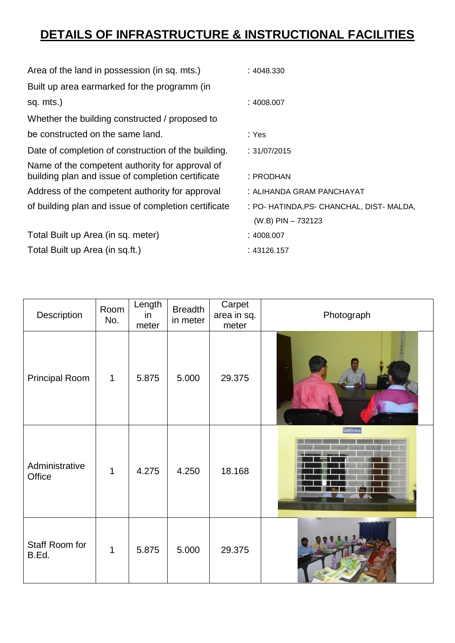## **DETAILS OF INFRASTRUCTURE & INSTRUCTIONAL FACILITIES**

| Area of the land in possession (in sq. mts.)                                                         | :4048.330                                                           |
|------------------------------------------------------------------------------------------------------|---------------------------------------------------------------------|
| Built up area earmarked for the programm (in                                                         |                                                                     |
| sq. mts.)                                                                                            | :4008.007                                                           |
| Whether the building constructed / proposed to                                                       |                                                                     |
| be constructed on the same land.                                                                     | : Yes                                                               |
| Date of completion of construction of the building.                                                  | : 31/07/2015                                                        |
| Name of the competent authority for approval of<br>building plan and issue of completion certificate | : PRODHAN                                                           |
| Address of the competent authority for approval                                                      | : ALIHANDA GRAM PANCHAYAT                                           |
| of building plan and issue of completion certificate                                                 | : PO- HATINDA, PS- CHANCHAL, DIST- MALDA,<br>$(W.B)$ PIN $- 732123$ |
| Total Built up Area (in sq. meter)                                                                   | :4008.007                                                           |
| Total Built up Area (in sq.ft.)                                                                      | : 43126.157                                                         |

| Description              | Room<br>No.  | Length<br>in<br>meter | <b>Breadth</b><br>in meter | Carpet<br>area in sq.<br>meter | Photograph               |
|--------------------------|--------------|-----------------------|----------------------------|--------------------------------|--------------------------|
| <b>Principal Room</b>    | $\mathbf{1}$ | 5.875                 | 5.000                      | 29.375                         |                          |
| Administrative<br>Office | 1            | 4.275                 | 4.250                      | 18.168                         | <b>COUNTER FOR B.Ed.</b> |
| Staff Room for<br>B.Ed.  | $\mathbf{1}$ | 5.875                 | 5.000                      | 29.375                         |                          |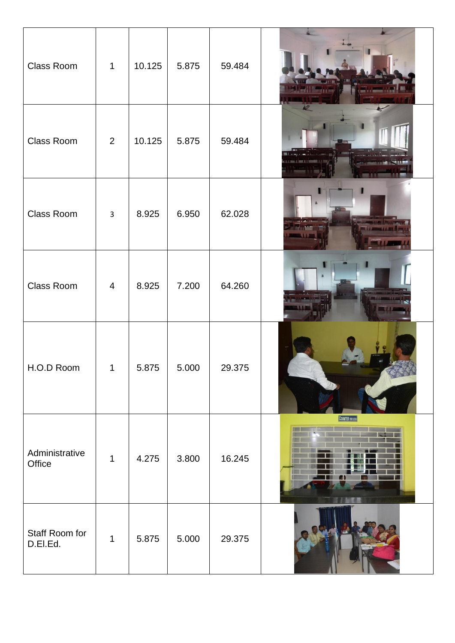| Class Room                 | $\mathbf{1}$   | 10.125 | 5.875 | 59.484 |                  |
|----------------------------|----------------|--------|-------|--------|------------------|
| Class Room                 | $\overline{2}$ | 10.125 | 5.875 | 59.484 |                  |
| Class Room                 | $\mathbf{3}$   | 8.925  | 6.950 | 62.028 |                  |
| Class Room                 | $\overline{4}$ | 8.925  | 7.200 | 64.260 |                  |
| H.O.D Room                 |                | 5.875  | 5.000 | 29.375 |                  |
| Administrative<br>Office   | $\mathbf 1$    | 4.275  | 3.800 | 16.245 | COUNTER FOR BELL |
| Staff Room for<br>D.El.Ed. | $\mathbf 1$    | 5.875  | 5.000 | 29.375 |                  |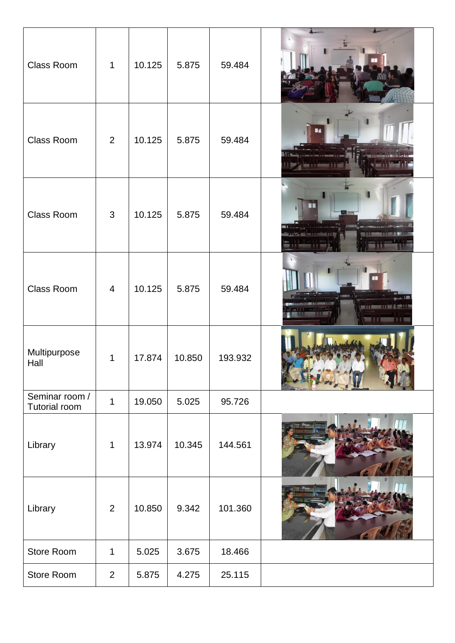| Class Room                      | $\mathbf{1}$   | 10.125 | 5.875  | 59.484  |              |
|---------------------------------|----------------|--------|--------|---------|--------------|
| Class Room                      | 2              | 10.125 | 5.875  | 59.484  |              |
| Class Room                      | 3              | 10.125 | 5.875  | 59.484  | 8 V          |
| Class Room                      | $\overline{4}$ | 10.125 | 5.875  | 59.484  |              |
| Multipurpose<br>Hall            | 1              | 17.874 | 10.850 | 193.932 | $\mathbf{F}$ |
| Seminar room /<br>Tutorial room | $\mathbf{1}$   | 19.050 | 5.025  | 95.726  |              |
| Library                         | $\mathbf{1}$   | 13.974 | 10.345 | 144.561 |              |
| Library                         | $\overline{2}$ | 10.850 | 9.342  | 101.360 |              |
| Store Room                      | $\mathbf 1$    | 5.025  | 3.675  | 18.466  |              |
| Store Room                      | $\overline{2}$ | 5.875  | 4.275  | 25.115  |              |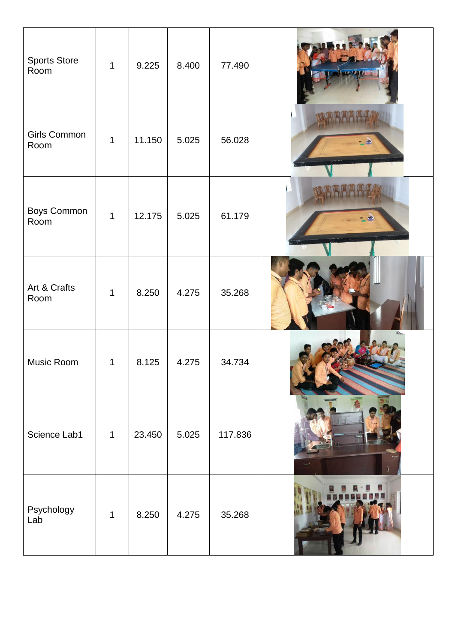| <b>Sports Store</b><br>Room | 1           | 9.225  | 8.400 | 77.490  |  |
|-----------------------------|-------------|--------|-------|---------|--|
| Girls Common<br>Room        | $\mathbf 1$ | 11.150 | 5.025 | 56.028  |  |
| <b>Boys Common</b><br>Room  | $\mathbf 1$ | 12.175 | 5.025 | 61.179  |  |
| Art & Crafts<br>Room        | 1           | 8.250  | 4.275 | 35.268  |  |
| Music Room                  | 1           | 8.125  | 4.275 | 34.734  |  |
| Science Lab1                | $\mathbf 1$ | 23.450 | 5.025 | 117.836 |  |
| Psychology<br>Lab           | 1           | 8.250  | 4.275 | 35.268  |  |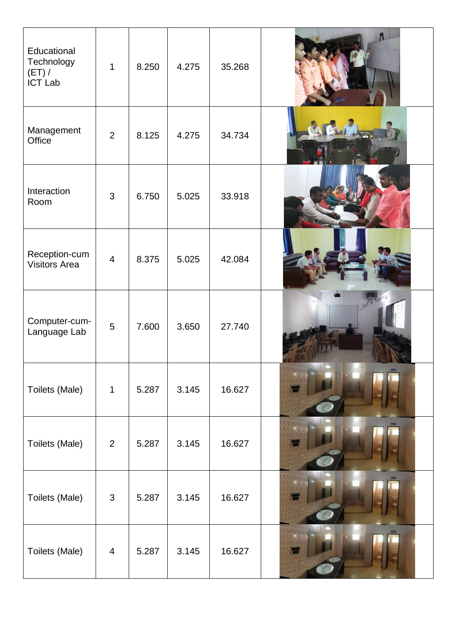| Educational<br>Technology<br>$(ET) /$<br>ICT Lab | $\mathbf{1}$   | 8.250 | 4.275 | 35.268 |  |
|--------------------------------------------------|----------------|-------|-------|--------|--|
| Management<br>Office                             | $\overline{2}$ | 8.125 | 4.275 | 34.734 |  |
| Interaction<br>Room                              | 3              | 6.750 | 5.025 | 33.918 |  |
| Reception-cum<br><b>Visitors Area</b>            | $\overline{4}$ | 8.375 | 5.025 | 42.084 |  |
| Computer-cum-<br>Language Lab                    | 5              | 7.600 | 3.650 | 27.740 |  |
| Toilets (Male)                                   | $\mathbf{1}$   | 5.287 | 3.145 | 16.627 |  |
| Toilets (Male)                                   | $\overline{2}$ | 5.287 | 3.145 | 16.627 |  |
| Toilets (Male)                                   | 3              | 5.287 | 3.145 | 16.627 |  |
| Toilets (Male)                                   | $\overline{4}$ | 5.287 | 3.145 | 16.627 |  |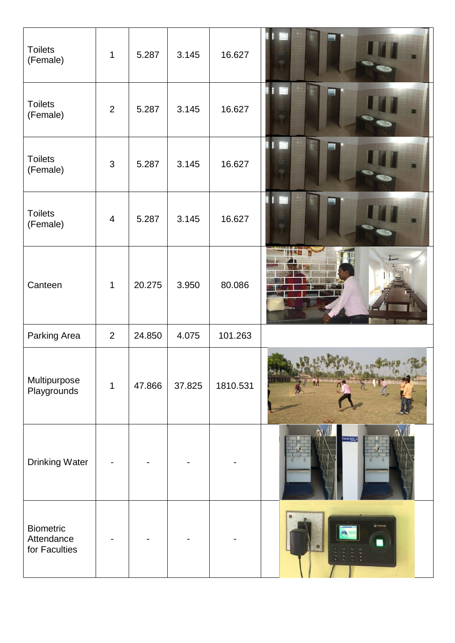| <b>Toilets</b><br>(Female)                      | $\mathbf{1}$            | 5.287  | 3.145  | 16.627   |                   |
|-------------------------------------------------|-------------------------|--------|--------|----------|-------------------|
| <b>Toilets</b><br>(Female)                      | $\overline{2}$          | 5.287  | 3.145  | 16.627   | ЦU,<br>H          |
| <b>Toilets</b><br>(Female)                      | 3                       | 5.287  | 3.145  | 16.627   | Ě<br>E<br>B       |
| <b>Toilets</b><br>(Female)                      | $\overline{\mathbf{4}}$ | 5.287  | 3.145  | 16.627   | ÌИ,<br>B          |
| Canteen                                         | $\mathbf{1}$            | 20.275 | 3.950  | 80.086   |                   |
| Parking Area                                    | $\overline{2}$          | 24.850 | 4.075  | 101.263  |                   |
| Multipurpose<br>Playgrounds                     | $\mathbf 1$             | 47.866 | 37.825 | 1810.531 |                   |
| <b>Drinking Water</b>                           |                         |        |        |          | ING W <u>ater</u> |
| <b>Biometric</b><br>Attendance<br>for Faculties |                         |        |        |          |                   |